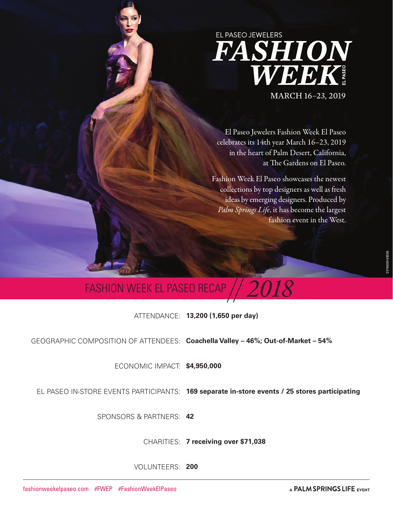## EL PASEO JEWELERS **FASHION**<br>WEEK MARCH 16-23, 2019

El Paseo Jewelers Fashion Week El Paseo celebrates its 14th year March 16–23, 2019 in the heart of Palm Desert, California, at The Gardens on El Paseo.

Fashion Week El Paseo showcases the newest collections by top designers as well as fresh ideas by emerging designers. Produced by *Palm Springs Life*, it has become the largest fashion event in the West.

### **FASHION WEEK EL PASEO RECAP**

ATTENDANCE: **13,200 (1,650 per day)**

GEOGRAPHIC COMPOSITION OF ATTENDEES: **Coachella Valley – 46%; Out-of-Market – 54%** 

ECONOMIC IMPACT: **\$4,950,000**

EL PASEO IN-STORE EVENTS PARTICIPANTS: **169 separate in-store events / 25 stores participating**

SPONSORS & PARTNERS: **42** 

CHARITIES: **7 receiving over \$71,038**

VOLUNTEERS: **200**